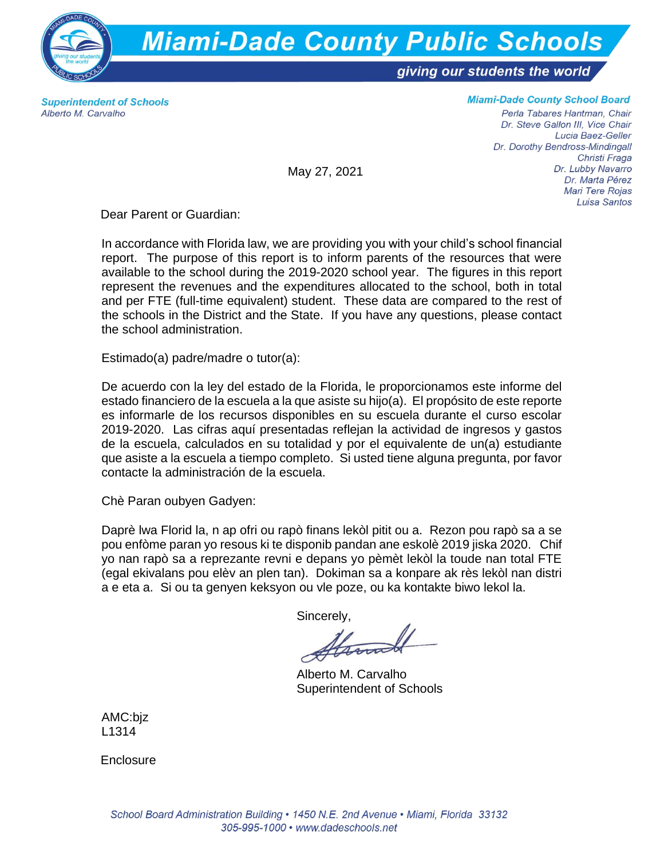

**Superintendent of Schools** Alberto M. Carvalho

## **Miami-Dade County School Board**

Perla Tabares Hantman, Chair Dr. Steve Gallon III, Vice Chair Lucia Baez-Geller Dr. Dorothy Bendross-Mindingall Christi Fraga Dr. Lubby Navarro Dr. Marta Pérez Mari Tere Rojas Luisa Santos

May 27, 2021

Dear Parent or Guardian:

In accordance with Florida law, we are providing you with your child's school financial report. The purpose of this report is to inform parents of the resources that were available to the school during the 2019-2020 school year. The figures in this report represent the revenues and the expenditures allocated to the school, both in total and per FTE (full-time equivalent) student. These data are compared to the rest of the schools in the District and the State. If you have any questions, please contact the school administration.

Estimado(a) padre/madre o tutor(a):

De acuerdo con la ley del estado de la Florida, le proporcionamos este informe del estado financiero de la escuela a la que asiste su hijo(a). El propósito de este reporte es informarle de los recursos disponibles en su escuela durante el curso escolar 2019-2020. Las cifras aquí presentadas reflejan la actividad de ingresos y gastos de la escuela, calculados en su totalidad y por el equivalente de un(a) estudiante que asiste a la escuela a tiempo completo. Si usted tiene alguna pregunta, por favor contacte la administración de la escuela.

Chè Paran oubyen Gadyen:

Daprè lwa Florid la, n ap ofri ou rapò finans lekòl pitit ou a. Rezon pou rapò sa a se pou enfòme paran yo resous ki te disponib pandan ane eskolè 2019 jiska 2020. Chif yo nan rapò sa a reprezante revni e depans yo pèmèt lekòl la toude nan total FTE (egal ekivalans pou elèv an plen tan). Dokiman sa a konpare ak rès lekòl nan distri a e eta a. Si ou ta genyen keksyon ou vle poze, ou ka kontakte biwo lekol la.

Sincerely,

Alamade

Alberto M. Carvalho Superintendent of Schools

AMC:bjz L1314

**Enclosure**